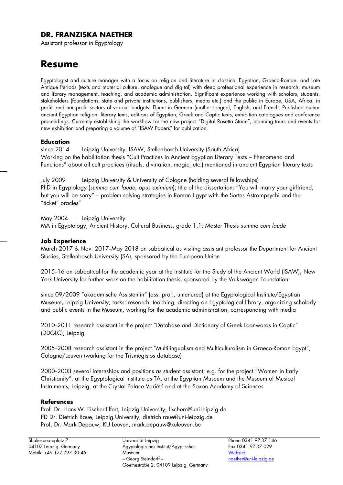## **DR. FRANZISKA NAETHER**

Assistant professor in Egyptology

# **Resume**

Egyptologist and culture manager with a focus on religion and literature in classical Egyptian, Graeco-Roman, and Late Antique Periods (texts and material culture, analogue and digital) with deep professional experience in research, museum and library management, teaching, and academic administration. Significant experience working with scholars, students, stakeholders (foundations, state and private institutions, publishers, media etc.) and the public in Europe, USA, Africa, in profit- and non-profit sectors of various budgets. Fluent in German (mother tongue), English, and French. Published author ancient Egyptian religion, literary texts, editions of Egyptian, Greek and Coptic texts, exhibition catalogues and conference proceedings. Currently establishing the workflow for the new project "Digital Rosetta Stone", planning tours and events for new exhibition and preparing a volume of "ISAW Papers" for publication.

#### **Education**

since 2014 Leipzig University, ISAW, Stellenbosch University (South Africa) Working on the habilitation thesis "Cult Practices in Ancient Egyptian Literary Texts – Phenomena and Functions" about all cult practices (rituals, divination, magic, etc.) mentioned in ancient Egyptian literary texts

July 2009 Leipzig University & University of Cologne (holding several fellowships) PhD in Egyptology (*summa cum laude, opus eximium*); title of the dissertation: "You will marry your girlfriend, but you will be sorry" – problem solving strategies in Roman Egypt with the Sortes Astrampsychi and the "ticket" oracles"

May 2004 Leipzig University

MA in Egyptology, Ancient History, Cultural Business, grade 1,1; Master Thesis *summa cum laude*

#### **Job Experience**

March 2017 & Nov. 2017-May 2018 on sabbatical as visiting assistant professor the Department for Ancient Studies, Stellenbosch University (SA), sponsored by the European Union

2015--16 on sabbatical for the academic year at the Institute for the Study of the Ancient World (ISAW), New York University for further work on the habilitation thesis, sponsored by the Volkswagen Foundation

since 09/2009 "akademische Assistentin" (ass. prof., untenured) at the Egyptological Institute/Egyptian Museum, Leipzig University; tasks: research, teaching, directing an Egyptological library, organizing scholarly and public events in the Museum, working for the academic administration, corresponding with media

2010-2011 research assistant in the project "Database and Dictionary of Greek Loanwords in Coptic" (DDGLC), Leipzig

2005--2008 research assistant in the project "Multilingualism and Multiculturalism in Graeco-Roman Egypt", Cologne/Leuven (working for the Trismegistos database)

2000--2003 several internships and positions as student assistant; e.g. for the project "Women in Early Christianity", at the Egyptological Institute as TA, at the Egyptian Museum and the Museum of Musical Instruments, Leipzig, at the Crystal Palace Variété and at the Saxon Academy of Sciences

#### **References**

Prof. Dr. Hans-W. Fischer-Elfert, Leipzig University, fischere@uni-leipzig.de PD Dr. Dietrich Raue, Leipzig University, dietrich.raue@uni-leipzig.de Prof. Dr. Mark Depauw, KU Leuven, mark.depauw@kuleuven.be

Universität Leipzig Ägyptologisches Institut/Ägyptisches Museum – Georg Steindorff – Goethestraße 2, 04109 Leipzig, Germany

Phone 0341 97-37 146 Fax 0341 97-37 029 **[Website](http://www.gko.uni-leipzig.de/de/aegyptologisches-institut/ueber-das-institut/mitarbeiterinnen/dr-franziska-naether.html)** [naether@uni-leipzig.de](mailto:naether@uni-leipzig.de)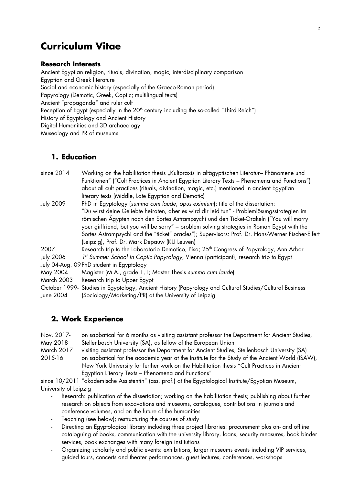# **Curriculum Vitae**

#### **Research Interests**

Ancient Egyptian religion, rituals, divination, magic, interdisciplinary comparison Egyptian and Greek literature Social and economic history (especially of the Graeco-Roman period) Papyrology (Demotic, Greek, Coptic; multilingual texts) Ancient "propaganda" and ruler cult Reception of Egypt (especially in the  $20<sup>th</sup>$  century including the so-called "Third Reich") History of Egyptology and Ancient History Digital Humanities and 3D archaeology Museology and PR of museums

## **1. Education**

| since 2014                                | Working on the habilitation thesis "Kultpraxis in altägyptischen Literatur- Phänomene und           |  |  |
|-------------------------------------------|-----------------------------------------------------------------------------------------------------|--|--|
|                                           | Funktionen" ("Cult Practices in Ancient Egyptian Literary Texts - Phenomena and Functions")         |  |  |
|                                           | about all cult practices (rituals, divination, magic, etc.) mentioned in ancient Egyptian           |  |  |
|                                           | literary texts (Middle, Late Egyptian and Demotic)                                                  |  |  |
| <b>July 2009</b>                          | PhD in Egyptology (summa cum laude, opus eximium); title of the dissertation:                       |  |  |
|                                           | "Du wirst deine Geliebte heiraten, aber es wird dir leid tun" - Problemlösungsstrategien im         |  |  |
|                                           | römischen Ägypten nach den Sortes Astrampsychi und den Ticket-Orakeln ("You will marry              |  |  |
|                                           | your girlfriend, but you will be sorry" - problem solving strategies in Roman Egypt with the        |  |  |
|                                           | Sortes Astrampsychi and the "ticket" oracles"); Supervisors: Prof. Dr. Hans-Werner Fischer-Elfert   |  |  |
|                                           | (Leipzig), Prof. Dr. Mark Depauw (KU Leuven)                                                        |  |  |
| 2007                                      | Research trip to the Laboratorio Demotico, Pisa; 25 <sup>th</sup> Congress of Papyrology, Ann Arbor |  |  |
| <b>July 2006</b>                          | 1st Summer School in Coptic Papyrology, Vienna (participant), research trip to Egypt                |  |  |
| July 04-Aug. 09 PhD student in Egyptology |                                                                                                     |  |  |
| May 2004                                  | Magister (M.A., grade 1,1; Master Thesis summa cum laude)                                           |  |  |
| <b>March 2003</b>                         | Research trip to Upper Egypt                                                                        |  |  |
| October 1999-                             | Studies in Egyptology, Ancient History (Papyrology and Cultural Studies/Cultural Business           |  |  |
| June 2004                                 | (Sociology/Marketing/PR) at the University of Leipzig                                               |  |  |

## **2. Work Experience**

| Nov. 2017- | on sabbatical for 6 months as visiting assistant professor the Department for Ancient Studies, |
|------------|------------------------------------------------------------------------------------------------|
| May 2018   | Stellenbosch University (SA), as fellow of the European Union                                  |

March 2017 visiting assistant professor the Department for Ancient Studies, Stellenbosch University (SA) 2015-16 on sabbatical for the academic year at the Institute for the Study of the Ancient World (ISAW), New York University for further work on the Habilitation thesis "Cult Practices in Ancient Egyptian Literary Texts – Phenomena and Functions"

since 10/2011 "akademische Assistentin" (ass. prof.) at the Egyptological Institute/Egyptian Museum, University of Leipzig

- Research: publication of the dissertation; working on the habilitation thesis; publishing about further research on objects from excavations and museums, catalogues, contributions in journals and conference volumes, and on the future of the humanities
- Teaching (see below); restructuring the courses of study
- Directing an Egyptological library including three project libraries: procurement plus on- and offline cataloguing of books, communication with the university library, loans, security measures, book binder services, book exchanges with many foreign institutions
- Organizing scholarly and public events: exhibitions, larger museums events including VIP services, guided tours, concerts and theater performances, guest lectures, conferences, workshops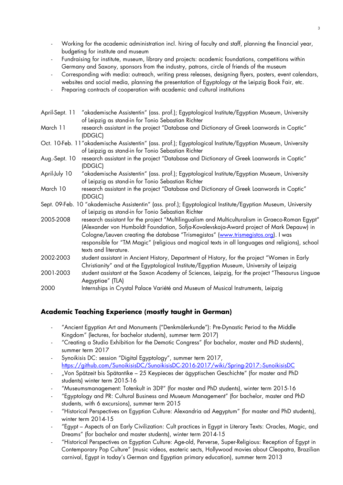- Working for the academic administration incl. hiring of faculty and staff, planning the financial year, budgeting for institute and museum
- Fundraising for institute, museum, library and projects: academic foundations, competitions within Germany and Saxony, sponsors from the industry, patrons, circle of friends of the museum
- Corresponding with media: outreach, writing press releases, designing flyers, posters, event calendars, websites and social media, planning the presentation of Egyptology at the Leipzig Book Fair, etc.
- Preparing contracts of cooperation with academic and cultural institutions

| April-Sept. 11 | "akademische Assistentin" (ass. prof.); Egyptological Institute/Egyptian Museum, University<br>of Leipzig as stand-in for Tonio Sebastian Richter                                                                                                                                                                                                                                                           |  |
|----------------|-------------------------------------------------------------------------------------------------------------------------------------------------------------------------------------------------------------------------------------------------------------------------------------------------------------------------------------------------------------------------------------------------------------|--|
| March 11       | research assistant in the project "Database and Dictionary of Greek Loanwords in Coptic"<br>(DDGLC)                                                                                                                                                                                                                                                                                                         |  |
|                | Oct. 10-Feb. 11"akademische Assistentin" (ass. prof.); Egyptological Institute/Egyptian Museum, University<br>of Leipzig as stand-in for Tonio Sebastian Richter                                                                                                                                                                                                                                            |  |
| Aug.-Sept. 10  | research assistant in the project "Database and Dictionary of Greek Loanwords in Coptic"<br>(DDGLC)                                                                                                                                                                                                                                                                                                         |  |
| April-July 10  | "akademische Assistentin" (ass. prof.); Egyptological Institute/Egyptian Museum, University<br>of Leipzig as stand-in for Tonio Sebastian Richter                                                                                                                                                                                                                                                           |  |
| March 10       | research assistant in the project "Database and Dictionary of Greek Loanwords in Coptic"<br>(DDGLC)                                                                                                                                                                                                                                                                                                         |  |
|                | Sept. 09-Feb. 10 "akademische Assistentin" (ass. prof.); Egyptological Institute/Egyptian Museum, University<br>of Leipzig as stand-in for Tonio Sebastian Richter                                                                                                                                                                                                                                          |  |
| 2005-2008      | research assistant for the project "Multilingualism and Multiculturalism in Graeco-Roman Egypt"<br>(Alexander von Humboldt Foundation, Sofja-Kovalevskaja-Award project of Mark Depauw) in<br>Cologne/Leuven creating the database "Trismegistos" (www.trismegistos.org). I was<br>responsible for "TM Magic" (religious and magical texts in all languages and religions), school<br>texts and literature. |  |
| 2002-2003      | student assistant in Ancient History, Department of History, for the project "Women in Early<br>Christianity" and at the Egyptological Institute/Egyptian Museum, University of Leipzig                                                                                                                                                                                                                     |  |
| 2001-2003      | student assistant at the Saxon Academy of Sciences, Leipzig, for the project "Thesaurus Linguae<br>Aegyptiae" (TLA)                                                                                                                                                                                                                                                                                         |  |
| 2000           | Internships in Crystal Palace Variété and Museum of Musical Instruments, Leipzig                                                                                                                                                                                                                                                                                                                            |  |

## **Academic Teaching Experience (mostly taught in German)**

- "Ancient Egyptian Art and Monuments ("Denkmälerkunde"): Pre-Dynastic Period to the Middle Kingdom" (lectures, for bachelor students), summer term 2017)
- "Creating a Studio Exhibition for the Demotic Congress" (for bachelor, master and PhD students), summer term 2017
- Synoikisis DC: session "Digital Egyptology", summer term 2017, <https://github.com/SunoikisisDC/SunoikisisDC-2016-2017/wiki/Spring-2017:-SunoikisisDC>
- "Von Spätzeit bis Spätantike 25 Keypieces der ägyptischen Geschichte" (for master and PhD students) winter term 2015-16
- "Museumsmanagement: Totenkult in 3D?" (for master and PhD students), winter term 2015-16
- "Egyptology and PR: Cultural Business and Museum Management" (for bachelor, master and PhD students, with 6 excursions), summer term 2015
- "Historical Perspectives on Egyptian Culture: Alexandria ad Aegyptum" (for master and PhD students), winter term 2014-15
- "Egypt Aspects of an Early Civilization: Cult practices in Egypt in Literary Texts: Oracles, Magic, and Dreams" (for bachelor and master students), winter term 2014-15
- "Historical Perspectives on Egyptian Culture: Age-old, Perverse, Super-Religious: Reception of Egypt in Contemporary Pop Culture" (music videos, esoteric sects, Hollywood movies about Cleopatra, Brazilian carnival, Egypt in today's German and Egyptian primary education), summer term 2013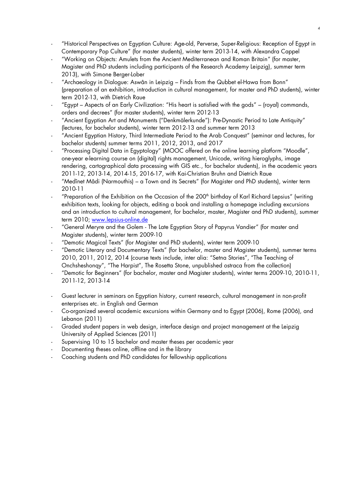- "Historical Perspectives on Egyptian Culture: Age-old, Perverse, Super-Religious: Reception of Egypt in Contemporary Pop Culture" (for master students), winter term 2013-14, with Alexandra Cappel
- "Working on Objects: Amulets from the Ancient Mediterranean and Roman Britain" (for master, Magister and PhD students including participants of the Research Academy Leipzig), summer term 2013), with Simone Berger-Lober
- "Archaeology in Dialogue: Aswân in Leipzig Finds from the Qubbet el-Hawa from Bonn" (preparation of an exhibition, introduction in cultural management, for master and PhD students), winter term 2012-13, with Dietrich Raue
- "Egypt Aspects of an Early Civilization: "His heart is satisfied with the gods" (royal) commands, orders and decrees" (for master students), winter term 2012-13
- "Ancient Egyptian Art and Monuments ("Denkmälerkunde"): Pre-Dynastic Period to Late Antiquity" (lectures, for bachelor students), winter term 2012-13 and summer term 2013
- "Ancient Egyptian History, Third Intermediate Period to the Arab Conquest" (seminar and lectures, for bachelor students) summer terms 2011, 2012, 2013, and 2017
- "Processing Digital Data in Egyptology" (MOOC offered on the online learning platform "Moodle", one-year e-learning course on (digital) rights management, Unicode, writing hieroglyphs, image rendering, cartographical data processing with GIS etc., for bachelor students), in the academic years 2011-12, 2013-14, 2014-15, 2016-17, with Kai-Christian Bruhn and Dietrich Raue
- "Medînet Mâdi (Narmouthis) a Town and its Secrets" (for Magister and PhD students), winter term 2010-11
- "Preparation of the Exhibition on the Occasion of the 200<sup>th</sup> birthday of Karl Richard Lepsius" (writing exhibition texts, looking for objects, editing a book and installing a homepage including excursions and an introduction to cultural management, for bachelor, master, Magister and PhD students), summer term 2010; [www.lepsius-online.de](http://www.lepsius-online.de/)
- "General Meryre and the Golem The Late Egyptian Story of Papyrus Vandier" (for master and Magister students), winter term 2009-10
- "Demotic Magical Texts" (for Magister and PhD students), winter term 2009-10
- "Demotic Literary and Documentary Texts" (for bachelor, master and Magister students), summer terms 2010, 2011, 2012, 2014 (course texts include, inter alia: "Setna Stories", "The Teaching of Onchsheshonqy", "The Harpist", The Rosetta Stone, unpublished ostraca from the collection)
- "Demotic for Beginners" (for bachelor, master and Magister students), winter terms 2009-10, 2010-11, 2011-12, 2013-14
- Guest lecturer in seminars on Egyptian history, current research, cultural management in non-profit enterprises etc. in English and German
- Co-organized several academic excursions within Germany and to Egypt (2006), Rome (2006), and Lebanon (2011)
- Graded student papers in web design, interface design and project management at the Leipzig University of Applied Sciences (2011)
- Supervising 10 to 15 bachelor and master theses per academic year
- Documenting theses online, offline and in the library
- Coaching students and PhD candidates for fellowship applications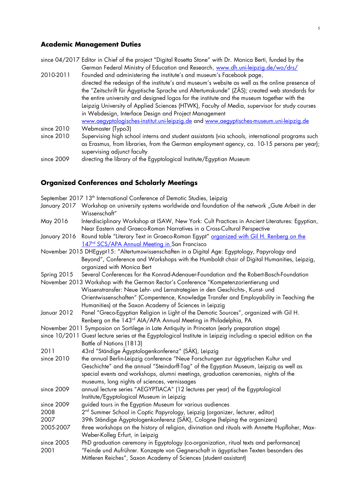#### **Academic Management Duties**

since 04/2017 Editor in Chief of the project "Digital Rosetta Stone" with Dr. Monica Berti, funded by the German Federal Ministry of Education and Research, [www.dh.uni-leipzig.de/wo/drs/](http://www.dh.uni-leipzig.de/wo/drs/)

- 2010-2011 Founded and administering the institute's and museum's Facebook page, directed the redesign of the institute's and museum's website as well as the online presence of the "Zeitschrift für Ägyptische Sprache und Altertumskunde" (ZÄS); created web standards for the entire university and designed logos for the institute and the museum together with the Leipzig University of Applied Sciences (HTWK), Faculty of Media, supervisor for study courses in Webdesign, Interface Design and Project Management [www.aegyptologisches-institut.uni-leipzig.de](http://www.aegyptologisches-institut.uni-leipzig.de/) and [www.aegyptisches-museum.uni-leipzig.de](http://www.aegyptisches-museum.uni-leipzig.de/) since 2010 Webmaster (Typo3) since 2010 Supervising high school interns and student assistants (via schools, international programs such
- as Erasmus, from libraries, from the German employment agency, ca. 10-15 persons per year); supervising adjunct faculty
- since 2009 directing the library of the Egyptological Institute/Egyptian Museum

#### **Organized Conferences and Scholarly Meetings**

|                                                                                                | September 2017 13 <sup>th</sup> International Conference of Demotic Studies, Leipzig                                     |  |  |
|------------------------------------------------------------------------------------------------|--------------------------------------------------------------------------------------------------------------------------|--|--|
|                                                                                                | January 2017 Workshop on university systems worldwide and foundation of the network "Gute Arbeit in der<br>Wissenschaft" |  |  |
| May 2016                                                                                       | Interdisciplinary Workshop at ISAW, New York: Cult Practices in Ancient Literatures: Egyptian,                           |  |  |
|                                                                                                | Near Eastern and Graeco-Roman Narratives in a Cross-Cultural Perspective                                                 |  |  |
| January 2016                                                                                   | Round table "Literary Text in Graeco-Roman Egypt" organized with Gil H. Renberg on the                                   |  |  |
|                                                                                                | 147 <sup>rd</sup> SCS/APA Annual Meeting in San Francisco                                                                |  |  |
| November 2015 DHEgypt15: "Altertumswissenschaften in a Digital Age: Egyptology, Papyrology and |                                                                                                                          |  |  |
|                                                                                                | Beyond", Conference and Workshops with the Humboldt chair of Digital Humanities, Leipzig,                                |  |  |
|                                                                                                | organized with Monica Bert                                                                                               |  |  |
| Spring 2015                                                                                    | Several Conferences for the Konrad-Adenauer-Foundation and the Robert-Bosch-Foundation                                   |  |  |
|                                                                                                | November 2013 Workshop with the German Rector's Conference "Kompetenzorientierung und                                    |  |  |
|                                                                                                | Wissenstransfer: Neue Lehr- und Lernstrategien in den Geschichts-, Kunst- und                                            |  |  |
|                                                                                                | Orientwissenschaften" (Compentence, Knowledge Transfer and Employability in Teaching the                                 |  |  |
|                                                                                                | Humanities) at the Saxon Academy of Sciences in Leipzig                                                                  |  |  |
| Januar 2012                                                                                    | Panel "Greco-Egyptian Religion in Light of the Demotic Sources", organized with Gil H.                                   |  |  |
|                                                                                                | Renberg on the 143 <sup>rd</sup> AIA/APA Annual Meeting in Philadelphia, PA                                              |  |  |
|                                                                                                | November 2011 Symposion on Sortilege in Late Antiquity in Princeton (early preparation stage)                            |  |  |
|                                                                                                | since 10/2011 Guest lecture series at the Egyptological Institute in Leipzig including a special edition on the          |  |  |
| Battle of Nations (1813)                                                                       |                                                                                                                          |  |  |
| 2011                                                                                           | 43rd "Ständige Ägyptologenkonferenz" (SÄK), Leipzig                                                                      |  |  |
| since 2010                                                                                     | the annual Berlin-Leipzig conference "Neue Forschungen zur ägyptischen Kultur und                                        |  |  |
|                                                                                                | Geschichte" and the annual "Steindorff-Tag" of the Egyptian Museum, Leipzig as well as                                   |  |  |
|                                                                                                | special events and workshops, alumni meetings, graduation ceremonies, nights of the                                      |  |  |
|                                                                                                | museums, long nights of sciences, vernissages                                                                            |  |  |
| since 2009                                                                                     | annual lecture series "AEGYPTIACA" (12 lectures per year) of the Egyptological                                           |  |  |
|                                                                                                | Institute/Egyptological Museum in Leipzig                                                                                |  |  |
| since 2009                                                                                     | guided tours in the Egyptian Museum for various audiences                                                                |  |  |
| 2008                                                                                           | 2 <sup>nd</sup> Summer School in Coptic Papyrology, Leipzig (organizer, lecturer, editor)                                |  |  |
| 2007                                                                                           | 39th Ständige Ägyptologenkonferenz (SÄK), Cologne (helping the organizers)                                               |  |  |
| 2005-2007                                                                                      | three workshops on the history of religion, divination and rituals with Annette Hupfloher, Max-                          |  |  |
|                                                                                                | Weber-Kolleg Erfurt, in Leipzig                                                                                          |  |  |
| since 2005                                                                                     | PhD graduation ceremony in Egyptology (co-organization, ritual texts and performance)                                    |  |  |
| 2001                                                                                           | "Feinde und Aufrührer. Konzepte von Gegnerschaft in ägyptischen Texten besonders des                                     |  |  |
|                                                                                                | Mittleren Reiches", Saxon Academy of Sciences (student assistant)                                                        |  |  |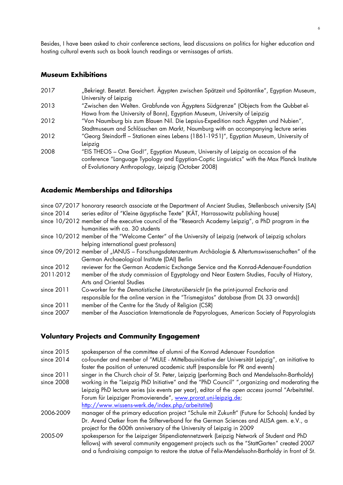Besides, I have been asked to chair conference sections, lead discussions on politics for higher education and hosting cultural events such as book launch readings or vernissages of artists.

#### **Museum Exhibitions**

| 2017 | "Bekriegt. Besetzt. Bereichert. Agypten zwischen Spätzeit und Spätantike", Egyptian Museum,  |  |  |
|------|----------------------------------------------------------------------------------------------|--|--|
|      | University of Leipzig                                                                        |  |  |
| 2013 | "Zwischen den Welten. Grabfunde von Ägyptens Südgrenze" (Objects from the Qubbet el-         |  |  |
|      | Hawa from the University of Bonn), Egyptian Museum, University of Leipzig                    |  |  |
| 2012 | "Von Naumburg bis zum Blauen Nil. Die Lepsius-Expedition nach Ägypten und Nubien",           |  |  |
|      | Stadtmuseum and Schlösschen am Markt, Naumburg with an accompanying lecture series           |  |  |
| 2012 | "Georg Steindorff - Stationen eines Lebens (1861-1951)", Egyptian Museum, University of      |  |  |
|      | Leipzig                                                                                      |  |  |
| 2008 | "EIS THEOS - One God!", Egyptian Museum, University of Leipzig on occasion of the            |  |  |
|      | conference "Language Typology and Egyptian-Coptic Linguistics" with the Max Planck Institute |  |  |
|      | of Evolutionary Anthropology, Leipzig (October 2008)                                         |  |  |

#### **Academic Memberships and Editorships**

|              | since 07/2017 honorary research associate at the Department of Ancient Studies, Stellenbosch university (SA) |
|--------------|--------------------------------------------------------------------------------------------------------------|
| since $2014$ | series editor of "Kleine ägyptische Texte" (KÄT, Harrassowitz publishing house)                              |
|              | since 10/2012 member of the executive council of the "Research Academy Leipzig", a PhD program in the        |
|              | humanities with ca. 30 students                                                                              |
|              | since 10/2012 member of the "Welcome Center" of the University of Leipzig (network of Leipzig scholars       |
|              | helping international guest professors)                                                                      |
|              | since 09/2012 member of "IANUS - Forschungsdatenzentrum Archäologie & Altertumswissenschaften" of the        |
|              | German Archaeological Institute (DAI) Berlin                                                                 |
| since $2012$ | reviewer for the German Academic Exchange Service and the Konrad-Adenauer-Foundation                         |
| 2011-2012    | member of the study commission of Egyptology and Near Eastern Studies, Faculty of History,                   |
|              | <b>Arts and Oriental Studies</b>                                                                             |
| since $2011$ | Co-worker for the Demotistische Literaturübersicht (in the print-journal Enchoria and                        |
|              | responsible for the online version in the "Trismegistos" database (from DL 33 onwards))                      |
| since $2011$ | member of the Centre for the Study of Religion (CSR)                                                         |
| since 2007   | member of the Association Internationale de Papyrologues, American Society of Papyrologists                  |
|              |                                                                                                              |

#### **Voluntary Projects and Community Engagement**

- since 2015 spokesperson of the committee of alumni of the Konrad Adenauer Foundation
- since 2014 co-founder and member of "MULE Mittelbauinitiative der Universität Leipzig", an initiative to foster the position of untenured academic stuff (responsible for PR and events)
- since 2011 singer in the Church choir of St. Peter, Leipzig (performing Bach and Mendelssohn-Bartholdy)
- since 2008 working in the "Leipzig PhD Initiative" and the "PhD Council" ",organizing and moderating the Leipzig PhD lecture series (six events per year), editor of the *open access* journal "Arbeitstitel. Forum für Leipziger Promovierende", [www.prorat.uni-leipzig.de;](http://www.prorat.uni-leipzig.de/) [http://www.wissens-werk.de/index.php/arbeitstitel\)](http://www.wissens-werk.de/index.php/arbeitstitel)
- 2006-2009 manager of the primary education project "Schule mit Zukunft" (Future for Schools) funded by Dr. Arend Oetker from the Stifterverband for the German Sciences and ALISA gem. e.V., a project for the 600th anniversary of the University of Leipzig in 2009
- 2005-09 spokesperson for the Leipziger Stipendiatennetzwerk (Leipzig Network of Student and PhD fellows) with several community engagement projects such as the "StattGarten" created 2007 and a fundraising campaign to restore the statue of Felix-Mendelssohn-Bartholdy in front of St.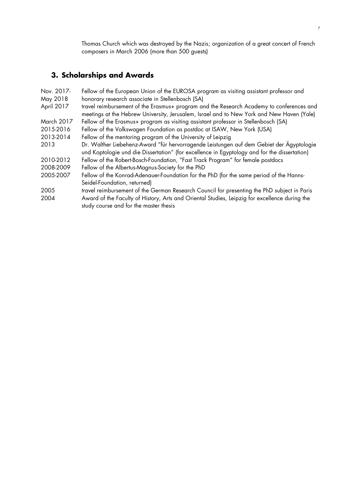Thomas Church which was destroyed by the Nazis; organization of a great concert of French composers in March 2006 (more than 500 guests)

## **3. Scholarships and Awards**

| Nov. 2017- | Fellow of the European Union of the EUROSA program as visiting assistant professor and                                                                                                   |  |  |
|------------|------------------------------------------------------------------------------------------------------------------------------------------------------------------------------------------|--|--|
| May 2018   | honorary research associate in Stellenbosch (SA)                                                                                                                                         |  |  |
| April 2017 | travel reimbursement of the Erasmus+ program and the Research Academy to conferences and<br>meetings at the Hebrew University, Jerusalem, Israel and to New York and New Haven (Yale)    |  |  |
| March 2017 | Fellow of the Erasmus+ program as visiting assistant professor in Stellenbosch (SA)                                                                                                      |  |  |
| 2015-2016  | Fellow of the Volkswagen Foundation as postdoc at ISAW, New York (USA)                                                                                                                   |  |  |
| 2013-2014  | Fellow of the mentoring program of the University of Leipzig                                                                                                                             |  |  |
| 2013       | Dr. Walther Liebehenz-Award "für hervorragende Leistungen auf dem Gebiet der Ägyptologie<br>und Koptologie und die Dissertation" (for excellence in Egyptology and for the dissertation) |  |  |
| 2010-2012  | Fellow of the Robert-Bosch-Foundation, "Fast Track Program" for female postdocs                                                                                                          |  |  |
| 2008-2009  | Fellow of the Albertus-Magnus-Society for the PhD                                                                                                                                        |  |  |
| 2005-2007  | Fellow of the Konrad-Adenauer-Foundation for the PhD (for the same period of the Hanns-<br>Seidel-Foundation, returned)                                                                  |  |  |
| 2005       | travel reimbursement of the German Research Council for presenting the PhD subject in Paris                                                                                              |  |  |
| 2004       | Award of the Faculty of History, Arts and Oriental Studies, Leipzig for excellence during the<br>study course and for the master thesis                                                  |  |  |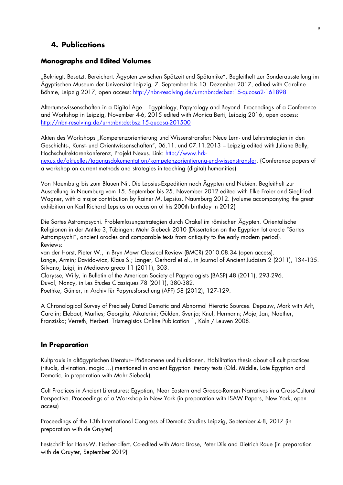## **4. Publications**

## **Monographs and Edited Volumes**

"Bekriegt. Besetzt. Bereichert. Ägypten zwischen Spätzeit und Spätantike". Begleitheft zur Sonderausstellung im Ägyptischen Museum der Universität Leipzig, 7. September bis 10. Dezember 2017, edited with Caroline Böhme, Leipzig 2017, open access:<http://nbn-resolving.de/urn:nbn:de:bsz:15-qucosa2-161898>

8

Altertumswissenschaften in a Digital Age – Egyptology, Papyrology and Beyond. Proceedings of a Conference and Workshop in Leipzig, November 4-6, 2015 edited with Monica Berti, Leipzig 2016, open access: <http://nbn-resolving.de/urn:nbn:de:bsz:15-qucosa-201500>

Akten des Workshops "Kompetenzorientierung und Wissenstransfer: Neue Lern- und Lehrstrategien in den Geschichts-, Kunst- und Orientwissenschaften", 06.11. und 07.11.2013 – Leipzig edited with Juliane Bally, Hochschulrektorenkonferenz, Projekt Nexus. Link: [http://www.hrk](http://www.hrk-nexus.de/aktuelles/tagungsdokumentation/kompetenzorientierung-und-wissenstransfer)[nexus.de/aktuelles/tagungsdokumentation/kompetenzorientierung-und-wissenstransfer.](http://www.hrk-nexus.de/aktuelles/tagungsdokumentation/kompetenzorientierung-und-wissenstransfer) (Conference papers of a workshop on current methods and strategies in teaching (digital) humanities)

Von Naumburg bis zum Blauen Nil. Die Lepsius-Expedition nach Ägypten und Nubien. Begleitheft zur Ausstellung in Naumburg vom 15. September bis 25. November 2012 edited with Elke Freier and Siegfried Wagner, with a major contribution by Rainer M. Lepsius, Naumburg 2012. (volume accompanying the great exhibition on Karl Richard Lepsius on occasion of his 200th birthday in 2012)

Die Sortes Astrampsychi. Problemlösungsstrategien durch Orakel im römischen Ägypten. Orientalische Religionen in der Antike 3, Tübingen: Mohr Siebeck 2010 (Dissertation on the Egyptian lot oracle "Sortes Astrampsychi", ancient oracles and comparable texts from antiquity to the early modern period). Reviews:

van der Horst, Pieter W., in Bryn Mawr Classical Review (BMCR) 2010.08.34 (open access). Lange, Armin; Davidowicz, Klaus S.; Langer, Gerhard et al., in Journal of Ancient Judaism 2 (2011), 134-135. Silvano, Luigi, in Medioevo greco 11 (2011), 303.

Clarysse, Willy, in Bulletin of the American Society of Papyrologists (BASP) 48 (2011), 293-296.

Duval, Nancy, in Les Etudes Classiques 78 (2011), 380-382.

Poethke, Günter, in Archiv für Papyrusforschung (APF) 58 (2012), 127-129.

A Chronological Survey of Precisely Dated Demotic and Abnormal Hieratic Sources. Depauw, Mark with Arlt, Carolin; Elebaut, Marlies; Georgila, Aikaterini; Gülden, Svenja; Knuf, Hermann; Moje, Jan; Naether, Franziska; Verreth, Herbert. Trismegistos Online Publication 1, Köln / Leuven 2008.

## **In Preparation**

Kultpraxis in altägyptischen Literatur– Phänomene und Funktionen. Habilitation thesis about all cult practices (rituals, divination, magic …) mentioned in ancient Egyptian literary texts (Old, Middle, Late Egyptian and Demotic, in preparation with Mohr Siebeck)

Cult Practices in Ancient Literatures: Egyptian, Near Eastern and Graeco-Roman Narratives in a Cross-Cultural Perspective. Proceedings of a Workshop in New York (in preparation with ISAW Papers, New York, open access)

Proceedings of the 13th International Congress of Demotic Studies Leipzig, September 4-8, 2017 (in preparation with de Gruyter)

Festschrift for Hans-W. Fischer-Elfert. Co-edited with Marc Brose, Peter Dils and Dietrich Raue (in preparation with de Gruyter, September 2019)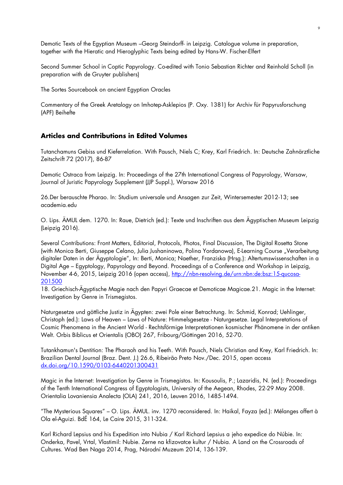Demotic Texts of the Egyptian Museum –Georg Steindorff- in Leipzig. Catalogue volume in preparation, together with the Hieratic and Hieroglyphic Texts being edited by Hans-W. Fischer-Elfert

Second Summer School in Coptic Papyrology. Co-edited with Tonio Sebastian Richter and Reinhold Scholl (in preparation with de Gruyter publishers)

The Sortes Sourcebook on ancient Egyptian Oracles

Commentary of the Greek Aretalogy on Imhotep-Asklepios (P. Oxy. 1381) for Archiv für Papyrusforschung (APF) Beihefte

## **Articles and Contributions in Edited Volumes**

Tutanchamuns Gebiss und Kieferrelation. With Pausch, Niels C; Krey, Karl Friedrich. In: Deutsche Zahnärztliche Zeitschrift 72 (2017), 86-87

Demotic Ostraca from Leipzig. In: Proceedings of the 27th International Congress of Papyrology, Warsaw, Journal of Juristic Papyrology Supplement (JJP Suppl.), Warsaw 2016

26.Der berauschte Pharao. In: Studium universale und Ansagen zur Zeit, Wintersemester 2012-13; see academia.edu

O. Lips. ÄMUL dem. 1270. In: Raue, Dietrich (ed.): Texte und Inschriften aus dem Ägyptischen Museum Leipzig (Leipzig 2016).

Several Contributions: Front Matters, Editorial, Protocols, Photos, Final Discussion, The Digital Rosetta Stone (with Monica Berti, Giuseppe Celano, Julia Jushaninowa, Polina Yordanowa), E-Learning Course "Verarbeitung digitaler Daten in der Ägyptologie", In: Berti, Monica; Naether, Franziska (Hrsg.): Altertumswissenschaften in a Digital Age – Egyptology, Papyrology and Beyond. Proceedings of a Conference and Workshop in Leipzig, November 4-6, 2015, Leipzig 2016 (open access), [http://nbn-resolving.de/urn:nbn:de:bsz:15-qucosa-](http://nbn-resolving.de/urn:nbn:de:bsz:15-qucosa-201500)[201500](http://nbn-resolving.de/urn:nbn:de:bsz:15-qucosa-201500)

18. Griechisch-Ägyptische Magie nach den Papyri Graecae et Demoticae Magicae.21. Magic in the Internet: Investigation by Genre in Trismegistos.

Naturgesetze und göttliche Justiz in Ägypten: zwei Pole einer Betrachtung. In: Schmid, Konrad; Uehlinger, Christoph (ed.): Laws of Heaven – Laws of Nature: Himmelsgesetze - Naturgesetze. Legal Interpretations of Cosmic Phenomena in the Ancient World - Rechtsförmige Interpretationen kosmischer Phänomene in der antiken Welt. Orbis Biblicus et Orientalis (OBO) 267, Fribourg/Göttingen 2016, 52-70.

Tutankhamun's Dentition: The Pharaoh and his Teeth. With Pausch, Niels Christian and Krey, Karl Friedrich. In: Brazilian Dental Journal (Braz. Dent. J.) 26.6, Ribeirão Preto Nov./Dec. 2015, open access [dx.doi.org/10.1590/0103-6440201300431](http://dx.doi.org/10.1590/0103-6440201300431)

Magic in the Internet: Investigation by Genre in Trismegistos. In: Kousoulis, P.; Lazaridis, N. (ed.): Proceedings of the Tenth International Congress of Egyptologists, University of the Aegean, Rhodes, 22-29 May 2008. Orientalia Lovaniensia Analecta (OLA) 241, 2016, Leuven 2016, 1485-1494.

"The Mysterious Squares" – O. Lips. ÄMUL. inv. 1270 reconsidered. In: Haikal, Fayza (ed.): Mélanges offert à Ola el-Aguizi. BdÉ 164, Le Caire 2015, 311-324.

Karl Richard Lepsius and his Expedition into Nubia / Karl Richard Lepsius a jeho expedice do Núbie. In: Onderka, Pavel, Vrtal, Vlastimil: Nubie. Zerne na kfizovatce kultur / Nubia. A Land on the Crossroads of Cultures. Wad Ben Naga 2014, Prag, Národní Muzeum 2014, 136-139.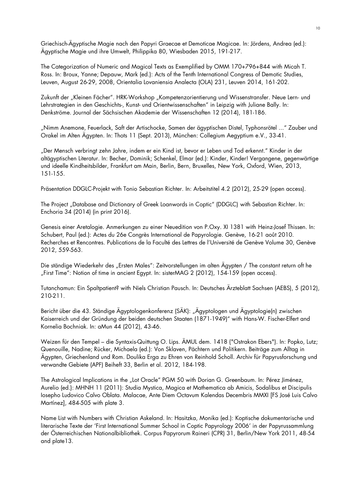Griechisch-Ägyptische Magie nach den Papyri Graecae et Demoticae Magicae. In: Jördens, Andrea (ed.): Ägyptische Magie und ihre Umwelt, Philippika 80, Wiesbaden 2015, 191-217.

The Categorization of Numeric and Magical Texts as Exemplified by OMM 170+796+844 with Micah T. Ross. In: Broux, Yanne; Depauw, Mark (ed.): Acts of the Tenth International Congress of Demotic Studies, Leuven, August 26-29, 2008, Orientalia Lovaniensia Analecta (OLA) 231, Leuven 2014, 161-202.

Zukunft der "Kleinen Fächer". HRK-Workshop "Kompetenzorientierung und Wissenstransfer. Neue Lern- und Lehrstrategien in den Geschichts-, Kunst- und Orientwissenschaften" in Leipzig with Juliane Bally. In: Denkströme. Journal der Sächsischen Akademie der Wissenschaften 12 (2014), 181-186.

"Nimm Anemone, Feuerlack, Saft der Artischocke, Samen der ägyptischen Distel, Typhonsrötel ..." Zauber und Orakel im Alten Ägypten. In: Thots 11 (Sept. 2013), München: Collegium Aegyptium e.V., 33-41.

"Der Mensch verbringt zehn Jahre, indem er ein Kind ist, bevor er Leben und Tod erkennt." Kinder in der altägyptischen Literatur. In: Becher, Dominik; Schenkel, Elmar (ed.): Kinder, Kinder! Vergangene, gegenwärtige und ideelle Kindheitsbilder, Frankfurt am Main, Berlin, Bern, Bruxelles, New York, Oxford, Wien, 2013, 151-155.

Präsentation DDGLC-Projekt with Tonio Sebastian Richter. In: Arbeitstitel 4.2 (2012), 25-29 (open access).

The Project "Database and Dictionary of Greek Loanwords in Coptic" (DDGLC) with Sebastian Richter. In: Enchoria 34 (2014) (in print 2016).

Genesis einer Aretalogie. Anmerkungen zu einer Neuedition von P.Oxy. XI 1381 with Heinz-Josef Thissen. In: Schubert, Paul (ed.): Actes du 26e Congrès International de Papyrologie. Genève, 16-21 août 2010. Recherches et Rencontres. Publications de la Faculté des Lettres de l'Université de Genève Volume 30, Genève 2012, 559-563.

Die ständige Wiederkehr des "Ersten Males": Zeitvorstellungen im alten Ägypten / The constant return oft he "First Time": Notion of time in ancient Egypt. In: sisterMAG 2 (2012), 154-159 (open access).

Tutanchamun: Ein Spaltpatient? with Niels Christian Pausch. In: Deutsches Ärzteblatt Sachsen (AEBS), 5 (2012), 210-211.

Bericht über die 43. Ständige Ägyptologenkonferenz (SÄK): "Ägyptologen und Ägyptologie(n) zwischen Kaiserreich und der Gründung der beiden deutschen Staaten (1871-1949)" with Hans-W. Fischer-Elfert and Kornelia Bochniak. In: aMun 44 (2012), 43-46.

Weizen für den Tempel – die Syntaxis-Quittung O. Lips. ÄMUL dem. 1418 ("Ostrakon Ebers"). In: Popko, Lutz; Quenouille, Nadine; Rücker, Michaela (ed.): Von Sklaven, Pächtern und Politikern. Beiträge zum Alltag in Ägypten, Griechenland und Rom. Doulika Erga zu Ehren von Reinhold Scholl. Archiv für Papyrusforschung und verwandte Gebiete (APF) Beiheft 33, Berlin et al. 2012, 184-198.

The Astrological Implications in the "Lot Oracle" PGM 50 with Dorian G. Greenbaum. In: Pérez Jiménez, Aurelio (ed.): MHNH 11 (2011): Studia Mystica, Magica et Mathematica ab Amicis, Sodalibus et Discipulis Iosepho Ludovico Calvo Oblata. Malacae, Ante Diem Octavum Kalendas Decembris MMXI [FS José Luis Calvo Martínez], 484-505 with plate 3.

Name List with Numbers with Christian Askeland. In: Hasitzka, Monika (ed.): Koptische dokumentarische und literarische Texte der 'First International Summer School in Coptic Papyrology 2006' in der Papyrussammlung der Österreichischen Nationalbibliothek. Corpus Papyrorum Raineri (CPR) 31, Berlin/New York 2011, 48-54 and plate13.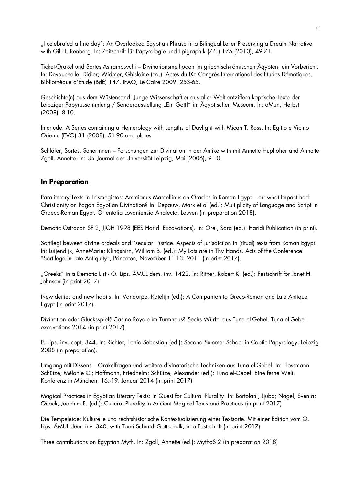"I celebrated a fine day": An Overlooked Egyptian Phrase in a Bilingual Letter Preserving a Dream Narrative with Gil H. Renberg. In: Zeitschrift für Papyrologie und Epigraphik (ZPE) 175 (2010), 49-71.

Ticket-Orakel und Sortes Astrampsychi – Divinationsmethoden im griechisch-römischen Ägypten: ein Vorbericht. In: Devauchelle, Didier; Widmer, Ghislaine (ed.): Actes du IXe Congrès International des Études Démotiques. Bibliothèque d'Étude (BdÉ) 147, IFAO, Le Caire 2009, 253-65.

Geschichte(n) aus dem Wüstensand. Junge Wissenschaftler aus aller Welt entziffern koptische Texte der Leipziger Papyrussammlung / Sonderausstellung "Ein Gott!" im Ägyptischen Museum. In: aMun, Herbst (2008), 8-10.

Interlude: A Series containing a Hemerology with Lengths of Daylight with Micah T. Ross. In: Egitto e Vicino Oriente (EVO) 31 (2008), 51-90 and plates.

Schläfer, Sortes, Seherinnen – Forschungen zur Divination in der Antike with mit Annette Hupfloher and Annette Zgoll, Annette. In: Uni-Journal der Universität Leipzig, Mai (2006), 9-10.

#### **In Preparation**

Paraliterary Texts in Trismegistos: Ammianus Marcellinus on Oracles in Roman Egypt – or: what Impact had Christianity on Pagan Egyptian Divination? In: Depauw, Mark et al (ed.): Multiplicity of Language and Script in Graeco-Roman Egypt. Orientalia Lovaniensia Analecta, Leuven (in preparation 2018).

Demotic Ostracon SF 2, JJGH 1998 (EES Haridi Excavations). In: Orel, Sara (ed.): Haridi Publication (in print).

Sortilegi beween divine ordeals and "secular" justice. Aspects of Jurisdiction in (ritual) texts from Roman Egypt. In: Luijendijk, AnneMarie; Klingshirn, William B. (ed.): My Lots are in Thy Hands. Acts of the Conference "Sortilege in Late Antiquity", Princeton, November 11-13, 2011 (in print 2017).

"Greeks" in a Demotic List - O. Lips. ÄMUL dem. inv. 1422. In: Ritner, Robert K. (ed.): Festschrift for Janet H. Johnson (in print 2017).

New deities and new habits. In: Vandorpe, Katelijn (ed.): A Companion to Greco-Roman and Late Antique Egypt (in print 2017).

Divination oder Glücksspiel? Casino Royale im Turmhaus? Sechs Würfel aus Tuna el-Gebel. Tuna el-Gebel excavations 2014 (in print 2017).

P. Lips. inv. copt. 344. In: Richter, Tonio Sebastian (ed.): Second Summer School in Coptic Papyrology, Leipzig 2008 (in preparation).

Umgang mit Dissens – Orakelfragen und weitere divinatorische Techniken aus Tuna el-Gebel. In: Flossmann-Schütze, Mélanie C.; Hoffmann, Friedhelm; Schütze, Alexander (ed.): Tuna el-Gebel. Eine ferne Welt. Konferenz in München, 16.-19. Januar 2014 (in print 2017)

Magical Practices in Egyptian Literary Texts: In Quest for Cultural Plurality. In: Bortolani, Ljuba; Nagel, Svenja; Quack, Joachim F. (ed.): Cultural Plurality in Ancient Magical Texts and Practices (in print 2017)

Die Tempeleide: Kulturelle und rechtshistorische Kontextualisierung einer Textsorte. Mit einer Edition vom O. Lips. ÄMUL dem. inv. 340. with Tami Schmidt-Gottschalk, in a Festschrift (in print 2017)

Three contributions on Egyptian Myth. In: Zgoll, Annette (ed.): MythoS 2 (in preparation 2018)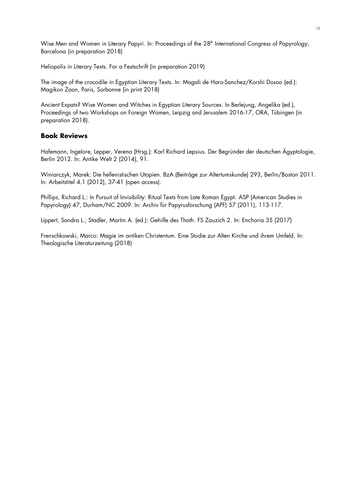Wise Men and Women in Literary Papyri. In: Proceedings of the 28<sup>th</sup> International Congress of Papyrology, Barcelona (in preparation 2018)

Heliopolis in Literary Texts. For a Festschrift (in preparation 2019)

The image of the crocodile in Egyptian Literary Texts. In: Magali de Haro-Sanchez/Korshi Dosoo (ed.): Magikon Zoon, Paris, Sorbonne (in print 2018)

Ancient Expats? Wise Women and Witches in Egyptian Literary Sources. In Berlejung, Angelika (ed.), Proceedings of two Workshops on Foreign Women, Leipzig and Jerusalem 2016-17, ORA, Tübingen (in preparation 2018).

#### **Book Reviews**

Hafemann, Ingelore, Lepper, Verena (Hrsg.): Karl Richard Lepsius. Der Begründer der deutschen Ägyptologie, Berlin 2012. In: Antike Welt 2 (2014), 91.

Winiarczyk, Marek: Die hellenistischen Utopien. BzA (Beiträge zur Altertumskunde) 293, Berlin/Boston 2011. In: Arbeitstitel 4.1 (2012), 37-41 (open access).

Phillips, Richard L.: In Pursuit of Invisibility: Ritual Texts from Late Roman Egypt. ASP (American Studies in Papyrology) 47, Durham/NC 2009. In: Archiv für Papyrusforschung (APF) 57 (2011), 113-117.

Lippert, Sandra L.; Stadler, Martin A. (ed.): Gehilfe des Thoth. FS Zauzich 2. In: Enchoria 35 (2017)

Frenschkowski, Marco: Magie im antiken Christentum. Eine Studie zur Alten Kirche und ihrem Umfeld. In: Theologische Literaturzeitung (2018)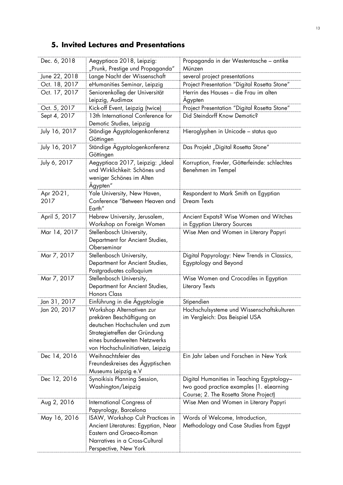# **5. Invited Lectures and Presentations**

| Dec. 6, 2018  | Aegyptiaca 2018, Leipzig:<br>"Prunk, Prestige und Propaganda" | Propaganda in der Westentasche – antike<br>Münzen |
|---------------|---------------------------------------------------------------|---------------------------------------------------|
| June 22, 2018 | Lange Nacht der Wissenschaft                                  | several project presentations                     |
| Oct. 18, 2017 | eHumanities Seminar, Leipzig                                  | Project Presentation "Digital Rosetta Stone"      |
| Oct. 17, 2017 | Seniorenkolleg der Universität                                | Herrin des Hauses - die Frau im alten             |
|               | Leipzig, Audimax                                              | Agypten                                           |
| Oct. 5, 2017  | Kick-off Event, Leipzig (twice)                               | Project Presentation "Digital Rosetta Stone"      |
| Sept 4, 2017  | 13th International Conference for                             | Did Steindorff Know Demotic?                      |
|               | Demotic Studies, Leipzig                                      |                                                   |
| July 16, 2017 | Ständige Agyptologenkonferenz                                 | Hieroglyphen in Unicode - status quo              |
|               | Göttingen                                                     |                                                   |
| July 16, 2017 | Ständige Ägyptologenkonferenz<br>Göttingen                    | Das Projekt "Digital Rosetta Stone"               |
| July 6, 2017  | Aegyptiaca 2017, Leipzig: "Ideal                              | Korruption, Frevler, Götterfeinde: schlechtes     |
|               | und Wirklichkeit: Schönes und                                 | Benehmen im Tempel                                |
|               | weniger Schönes im Alten                                      |                                                   |
|               | Agypten"                                                      |                                                   |
| Apr 20-21,    | Yale University, New Haven,                                   | Respondent to Mark Smith on Egyptian              |
| 2017          | Conference "Between Heaven and                                | <b>Dream Texts</b>                                |
|               | Earth"                                                        |                                                   |
| April 5, 2017 | Hebrew University, Jerusalem,                                 | Ancient Expats? Wise Women and Witches            |
|               | Workshop on Foreign Women                                     | in Egyptian Literary Sources                      |
| Mar 14, 2017  | Stellenbosch University,                                      | Wise Men and Women in Literary Papyri             |
|               | Department for Ancient Studies,                               |                                                   |
|               | Oberseminar                                                   |                                                   |
| Mar 7, 2017   | Stellenbosch University,                                      | Digital Papyrology: New Trends in Classics,       |
|               | Department for Ancient Studies,                               | Egyptology and Beyond                             |
| Mar 7, 2017   | Postgraduates colloquium<br>Stellenbosch University,          | Wise Women and Crocodiles in Egyptian             |
|               | Department for Ancient Studies,                               | Literary Texts                                    |
|               | <b>Honors Class</b>                                           |                                                   |
| Jan 31, 2017  | Einführung in die Ägyptologie                                 | Stipendien                                        |
| Jan 20, 2017  | Workshop Alternativen zur                                     | Hochschulsysteme und Wissenschaftskulturen        |
|               | prekären Beschäftigung an                                     | im Vergleich: Das Beispiel USA                    |
|               | deutschen Hochschulen und zum                                 |                                                   |
|               | Strategietreffen der Gründung                                 |                                                   |
|               | eines bundesweiten Netzwerks                                  |                                                   |
|               | von Hochschulinitiativen, Leipzig                             |                                                   |
| Dec 14, 2016  | Weihnachtsfeier des                                           | Ein Jahr Leben und Forschen in New York           |
|               | Freundeskreises des Ägyptischen                               |                                                   |
|               | Museums Leipzig e.V                                           |                                                   |
| Dec 12, 2016  | Synoikisis Planning Session,                                  | Digital Humanities in Teaching Egyptology-        |
|               | Washington/Leipzig                                            | two good practice examples (1. elearning          |
|               |                                                               | Course; 2. The Rosetta Stone Project)             |
| Aug 2, 2016   | International Congress of                                     | Wise Men and Women in Literary Papyri             |
|               | Papyrology, Barcelona                                         |                                                   |
| May 16, 2016  | ISAW, Workshop Cult Practices in                              | Words of Welcome, Introduction,                   |
|               | Ancient Literatures: Egyptian, Near                           | Methodology and Case Studies from Egypt           |
|               | Eastern and Graeco-Roman                                      |                                                   |
|               | Narratives in a Cross-Cultural                                |                                                   |
|               | Perspective, New York                                         |                                                   |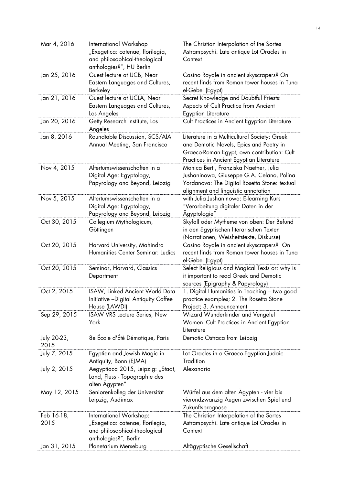| Mar 4, 2016  | International Workshop               | The Christian Interpolation of the Sortes     |
|--------------|--------------------------------------|-----------------------------------------------|
|              |                                      |                                               |
|              | "Exegetica: catenae, florilegia,     | Astrampsychi. Late antique Lot Oracles in     |
|              | and philosophical-theological        | Context                                       |
|              | anthologies?", HU Berlin             |                                               |
| Jan 25, 2016 | Guest lecture at UCB, Near           | Casino Royale in ancient skyscrapers? On      |
|              | Eastern Languages and Cultures,      | recent finds from Roman tower houses in Tuna  |
|              | Berkeley                             | el-Gebel (Egypt)                              |
| Jan 21, 2016 | Guest lecture at UCLA, Near          | Secret Knowledge and Doubtful Priests:        |
|              | Eastern Languages and Cultures,      | Aspects of Cult Practice from Ancient         |
|              | Los Angeles                          | Egyptian Literature                           |
| Jan 20, 2016 | Getty Research Institute, Los        |                                               |
|              |                                      | Cult Practices in Ancient Egyptian Literature |
|              | Angeles                              |                                               |
| Jan 8, 2016  | Roundtable Discussion, SCS/AIA       | Literature in a Multicultural Society: Greek  |
|              | Annual Meeting, San Francisco        | and Demotic Novels, Epics and Poetry in       |
|              |                                      | Graeco-Roman Egypt; own contribution: Cult    |
|              |                                      | Practices in Ancient Egyptian Literature      |
| Nov 4, 2015  | Altertumswissenschaften in a         | Monica Berti, Franziska Naether, Julia        |
|              | Digital Age: Egyptology,             | Jushaninowa, Giuseppe G.A. Celano, Polina     |
|              | Papyrology and Beyond, Leipzig       | Yordanova: The Digital Rosetta Stone: textual |
|              |                                      | alignment and linguistic annotation           |
|              | Altertumswissenschaften in a         |                                               |
| Nov 5, 2015  |                                      | with Julia Jushaninowa: E-learning Kurs       |
|              | Digital Age: Egyptology,             | "Verarbeitung digitaler Daten in der          |
|              | Papyrology and Beyond, Leipzig       | Agyptologie"                                  |
| Oct 30, 2015 | Collegium Mythologicum,              | Skyfall oder Mytheme von oben: Der Befund     |
|              | Göttingen                            | in den ägyptischen literarischen Texten       |
|              |                                      | (Narrationen, Weisheitstexte, Diskurse)       |
| Oct 20, 2015 | Harvard University, Mahindra         | Casino Royale in ancient skyscrapers? On      |
|              | Humanities Center Seminar: Ludics    | recent finds from Roman tower houses in Tuna  |
|              |                                      | el-Gebel (Egypt)                              |
| Oct 20, 2015 | Seminar, Harvard, Classics           | Select Religious and Magical Texts or: why is |
|              | Department                           | it important to read Greek and Demotic        |
|              |                                      |                                               |
|              |                                      | sources (Epigraphy & Papyrology)              |
| Oct 2, 2015  | ISAW, Linked Ancient World Data      | 1. Digital Humanities in Teaching - two good  |
|              | Initiative -Digital Antiquity Coffee | practice examples; 2. The Rosetta Stone       |
|              | House (LAWDI)                        | Project; 3. Announcement                      |
| Sep 29, 2015 | ISAW VRS Lecture Series, New         | Wizard Wunderkinder and Vengeful              |
|              | York                                 | Women- Cult Practices in Ancient Egyptian     |
|              |                                      | Literature                                    |
| July 20-23,  | 8e École d'Été Démotique, Paris      | Demotic Ostraca from Leipzig                  |
| 2015         |                                      |                                               |
| July 7, 2015 | Egyptian and Jewish Magic in         | Lot Oracles in a Graeco-Egyptian-Judaic       |
|              |                                      | Tradition                                     |
|              | Antiquity, Bonn (EJMA)               |                                               |
| July 2, 2015 | Aegyptiaca 2015, Leipzig: "Stadt,    | Alexandria                                    |
|              | Land, Fluss - Topographie des        |                                               |
|              | alten Agypten"                       |                                               |
| May 12, 2015 | Seniorenkolleg der Universität       | Würfel aus dem alten Agypten - vier bis       |
|              | Leipzig, Audimax                     | vierundzwanzig Augen zwischen Spiel und       |
|              |                                      | Zukunftsprognose                              |
| Feb 16-18,   | International Workshop:              | The Christian Interpolation of the Sortes     |
| 2015         | "Exegetica: catenae, florilegia,     | Astrampsychi. Late antique Lot Oracles in     |
|              | and philosophical-theological        | Context                                       |
|              |                                      |                                               |
|              | anthologies?", Berlin                |                                               |
| Jan 31, 2015 | Planetarium Merseburg                | Altägyptische Gesellschaft                    |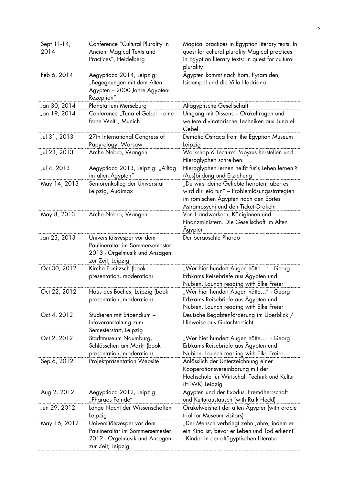| Sept 11-14,<br>2014 | Conference "Cultural Plurality in<br>Ancient Magical Texts and<br>Practices", Heidelberg                            | Magical practices in Egyptian literary texts: In<br>quest for cultural plurality Magical practices<br>in Egyptian literary texts: In quest for cultural<br>plurality       |
|---------------------|---------------------------------------------------------------------------------------------------------------------|----------------------------------------------------------------------------------------------------------------------------------------------------------------------------|
| Feb 6, 2014         | Aegyptiaca 2014, Leipzig:<br>"Begegnungen mit dem Alten<br>Agypten - 2000 Jahre Ägypten-<br>Rezeption"              | Ägypten kommt nach Rom. Pyramiden,<br>Isistempel und die Villa Hadriana                                                                                                    |
| Jan 30, 2014        | Planetarium Merseburg                                                                                               | Altägyptische Gesellschaft                                                                                                                                                 |
| Jan 19, 2014        | Conference "Tuna el-Gebel - eine<br>ferne Welt", Munich                                                             | Umgang mit Dissens - Orakelfragen und<br>weitere divinatorische Techniken aus Tuna el-<br>Gebel                                                                            |
| Jul 31, 2013        | 27th International Congress of<br>Papyrology, Warsaw                                                                | Demotic Ostraca from the Egyptian Museum<br>Leipzig                                                                                                                        |
| Jul 23, 2013        | Arche Nebra, Wangen                                                                                                 | Workshop & Lecture: Papyrus herstellen und<br>Hieroglyphen schreiben                                                                                                       |
| Jul 4, 2013         | Aegyptiaca 2013, Leipzig: "Alltag<br>im alten Agypten"                                                              | Hieroglyphen lernen heißt für's Leben lernen ?<br>(Aus) bildung und Erziehung                                                                                              |
| May 14, 2013        | Seniorenkolleg der Universität<br>Leipzig, Audimax                                                                  | "Du wirst deine Geliebte heiraten, aber es<br>wird dir leid tun" - Problemlösungsstrategien<br>im römischen Ägypten nach den Sortes<br>Astrampsychi und den Ticket-Orakeln |
| May 8, 2013         | Arche Nebra, Wangen                                                                                                 | Von Handwerkern, Königinnen und<br>Finanzministern. Die Gesellschaft im Alten<br>Agypten                                                                                   |
| Jan 23, 2013        | Universitätsvesper vor dem<br>Paulineraltar im Sommersemester<br>2013 - Orgelmusik und Ansagen<br>zur Zeit, Leipzig | Der berauschte Pharao                                                                                                                                                      |
| Oct 30, 2012        | Kirche Panitzsch (book<br>presentation, moderation)                                                                 | "Wer hier hundert Augen hätte" - Georg<br>Erbkams Reisebriefe aus Ägypten und<br>Nubien. Launch reading with Elke Freier                                                   |
| Oct 22, 2012        | Haus des Buches, Leipzig (book<br>presentation, moderation)                                                         | "Wer hier hundert Augen hätte" - Georg<br>Erbkams Reisebriefe aus Agypten und<br>Nubien. Launch reading with Elke Freier                                                   |
| Oct 4, 2012         | Studieren mit Stipendium -<br>Infoveranstaltung zum<br>Semesterstart, Leipzig                                       | Deutsche Begabtenförderung im Überblick /<br>Hinweise aus Gutachtersicht                                                                                                   |
| Oct 2, 2012         | Stadtmuseum Naumburg,<br>Schlösschen am Markt (book<br>presentation, moderation)                                    | "Wer hier hundert Augen hätte" - Georg<br>Erbkams Reisebriefe aus Agypten und<br>Nubien. Launch reading with Elke Freier                                                   |
| Sep 6, 2012         | Projektpräsentation Website                                                                                         | Anlässlich der Unterzeichnung einer<br>Kooperationsvereinbarung mit der<br>Hochschule für Wirtschaft Technik und Kultur<br>(HTWK) Leipzig                                  |
| Aug 2, 2012         | Aegyptiaca 2012, Leipzig:<br>"Pharaos Feinde"                                                                       | Agypten und der Exodus. Fremdherrschaft<br>und Kulturaustausch (with Raik Heckl)                                                                                           |
| Jun 29, 2012        | Lange Nacht der Wissenschaften<br>Leipzig                                                                           | Orakelweisheit der alten Agypter (with oracle<br>trial for Museum visitors)                                                                                                |
| May 16, 2012        | Universitätsvesper vor dem<br>Paulineraltar im Sommersemester<br>2012 - Orgelmusik und Ansagen<br>zur Zeit, Leipzig | "Der Mensch verbringt zehn Jahre, indem er<br>ein Kind ist, bevor er Leben und Tod erkennt"<br>- Kinder in der altägyptischen Literatur                                    |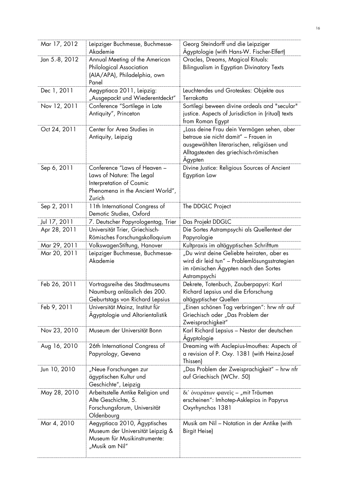| Mar 17, 2012   | Leipziger Buchmesse, Buchmesse-<br>Akademie                                                                                         | Georg Steindorff und die Leipziger<br>Ägyptologie (with Hans-W. Fischer-Elfert)                                                                                                       |
|----------------|-------------------------------------------------------------------------------------------------------------------------------------|---------------------------------------------------------------------------------------------------------------------------------------------------------------------------------------|
| Jan 5.-8, 2012 | Annual Meeting of the American<br>Philological Association<br>(AIA/APA), Philadelphia, own<br>Panel                                 | Oracles, Dreams, Magical Rituals:<br>Bilingualism in Egyptian Divinatory Texts                                                                                                        |
| Dec 1, 2011    | Aegyptiaca 2011, Leipzig:<br>"Ausgepackt und Wiederentdeckt"                                                                        | Leuchtendes und Groteskes: Objekte aus<br>Terrakotta                                                                                                                                  |
| Nov 12, 2011   | Conference "Sortilege in Late<br>Antiquity", Princeton                                                                              | Sortilegi beween divine ordeals and "secular"<br>justice. Aspects of Jurisdiction in (ritual) texts<br>from Roman Egypt                                                               |
| Oct 24, 2011   | Center for Area Studies in<br>Antiquity, Leipzig                                                                                    | "Lass deine Frau dein Vermögen sehen, aber<br>betraue sie nicht damit" - Frauen in<br>ausgewählten literarischen, religiösen und<br>Alltagstexten des griechisch-römischen<br>Agypten |
| Sep 6, 2011    | Conference "Laws of Heaven -<br>Laws of Nature: The Legal<br>Interpretation of Cosmic<br>Phenomena in the Ancient World",<br>Zurich | Divine Justice: Religious Sources of Ancient<br>Egyptian Law                                                                                                                          |
| Sep 2, 2011    | 11th International Congress of<br>Demotic Studies, Oxford                                                                           | The DDGLC Project                                                                                                                                                                     |
| Jul 17, 2011   | 7. Deutscher Papyrologentag, Trier                                                                                                  | Das Projekt DDGLC                                                                                                                                                                     |
| Apr 28, 2011   | Universität Trier, Griechisch-<br>Römisches Forschungskolloquium                                                                    | Die Sortes Astrampsychi als Quellentext der<br>Papyrologie                                                                                                                            |
| Mar 29, 2011   | VolkswagenStiftung, Hanover                                                                                                         | Kultpraxis im altägyptischen Schrifttum                                                                                                                                               |
| Mar 20, 2011   | Leipziger Buchmesse, Buchmesse-<br>Akademie                                                                                         | "Du wirst deine Geliebte heiraten, aber es<br>wird dir leid tun" - Problemlösungsstrategien<br>im römischen Agypten nach den Sortes<br>Astrampsychi                                   |
| Feb 26, 2011   | Vortragsreihe des Stadtmuseums<br>Naumburg anlässlich des 200.<br>Geburtstags von Richard Lepsius                                   | Dekrete, Totenbuch, Zauberpapyri: Karl<br>Richard Lepsius und die Erforschung<br>altägyptischer Quellen                                                                               |
| Feb 9, 2011    | Universität Mainz, Institut für<br>Ägyptologie und Altorientalistik                                                                 | "Einen schönen Tag verbringen": hrw nfr auf<br>Griechisch oder "Das Problem der<br>Zweisprachigkeit"                                                                                  |
| Nov 23, 2010   | Museum der Universität Bonn                                                                                                         | Karl Richard Lepsius - Nestor der deutschen<br>Agyptologie                                                                                                                            |
| Aug 16, 2010   | 26th International Congress of<br>Papyrology, Gevena                                                                                | Dreaming with Asclepius-Imouthes: Aspects of<br>a revision of P. Oxy. 1381 (with Heinz-Josef<br>Thissen)                                                                              |
| Jun 10, 2010   | "Neue Forschungen zur<br>ägyptischen Kultur und<br>Geschichte", Leipzig                                                             | "Das Problem der Zweisprachigkeit" – hrw nfr<br>auf Griechisch (WChr. 50)                                                                                                             |
| May 28, 2010   | Arbeitsstelle Antike Religion und<br>Alte Geschichte, 5.<br>Forschungsforum, Universität<br>Oldenbourg                              | δι' όνειράτων φανείς – "mit Träumen<br>erscheinen": Imhotep-Asklepios in Papyrus<br>Oxyrhynchos 1381                                                                                  |
| Mar 4, 2010    | Aegyptiaca 2010, Agyptisches<br>Museum der Universität Leipzig &<br>Museum für Musikinstrumente:<br>"Musik am Nil"                  | Musik am Nil - Notation in der Antike (with<br><b>Birgit Heise)</b>                                                                                                                   |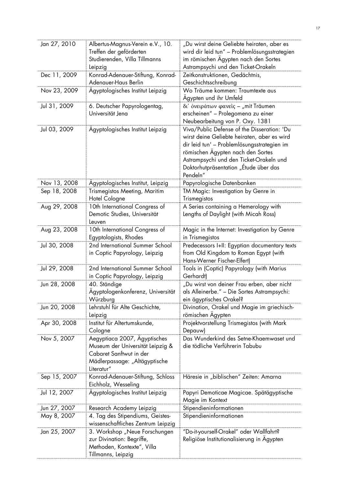| Jan 27, 2010 | Albertus-Magnus-Verein e.V., 10.<br>Treffen der geförderten<br>Studierenden, Villa Tillmanns<br>Leipzig                                    | "Du wirst deine Geliebte heiraten, aber es<br>wird dir leid tun" - Problemlösungsstrategien<br>im römischen Agypten nach den Sortes<br>Astrampsychi und den Ticket-Orakeln                                                                                                     |
|--------------|--------------------------------------------------------------------------------------------------------------------------------------------|--------------------------------------------------------------------------------------------------------------------------------------------------------------------------------------------------------------------------------------------------------------------------------|
| Dec 11, 2009 | Konrad-Adenauer-Stiftung, Konrad-<br>Adenauer-Haus Berlin                                                                                  | Zeitkonstruktionen, Gedächtnis,<br>Geschichtsschreibung                                                                                                                                                                                                                        |
| Nov 23, 2009 | Agyptologisches Institut Leipzig                                                                                                           | Wo Träume kommen: Traumtexte aus<br>Ägypten und ihr Umfeld                                                                                                                                                                                                                     |
| Jul 31, 2009 | 6. Deutscher Papyrologentag,<br>Universität Jena                                                                                           | δι' όνειράτων φανείς - "mit Träumen<br>erscheinen" - Prolegomena zu einer<br>Neubearbeitung von P. Oxy. 1381                                                                                                                                                                   |
| Jul 03, 2009 | Agyptologisches Institut Leipzig                                                                                                           | Viva/Public Defense of the Disseration: 'Du<br>wirst deine Geliebte heiraten, aber es wird<br>dir leid tun' - Problemlösungsstrategien im<br>römischen Ägypten nach den Sortes<br>Astrampsychi und den Ticket-Orakeln und<br>Doktorhutpräsentation "Etude über das<br>Pendeln" |
| Nov 13, 2008 | Agyptologisches Institut, Leipzig                                                                                                          | Papyrologische Datenbanken                                                                                                                                                                                                                                                     |
| Sep 18, 2008 | Trismegistos Meeting, Maritim<br>Hotel Cologne                                                                                             | TM Magic: Investigation by Genre in<br>Trismegistos                                                                                                                                                                                                                            |
| Aug 29, 2008 | 10th International Congress of<br>Demotic Studies, Universität<br>Leuven                                                                   | A Series containing a Hemerology with<br>Lengths of Daylight (with Micah Ross)                                                                                                                                                                                                 |
| Aug 23, 2008 | 10th International Congress of<br>Egyptologists, Rhodes                                                                                    | Magic in the Internet: Investigation by Genre<br>in Trismegistos                                                                                                                                                                                                               |
| Jul 30, 2008 | 2nd International Summer School<br>in Coptic Papyrology, Leipzig                                                                           | Predecessors I+II: Egyptian documentary texts<br>from Old Kingdom to Roman Egypt (with<br>Hans-Werner Fischer-Elfert)                                                                                                                                                          |
| Jul 29, 2008 | 2nd International Summer School<br>in Coptic Papyrology, Leipzig                                                                           | Tools in (Coptic) Papyrology (with Marius<br>Gerhardt)                                                                                                                                                                                                                         |
| Jun 28, 2008 | 40. Ständige<br>Ägyptologenkonferenz, Universität<br>Würzburg                                                                              | "Du wirst von deiner Frau erben, aber nicht<br>als Alleinerbe." - Die Sortes Astrampsychi:<br>ein ägyptisches Orakel?                                                                                                                                                          |
| Jun 20, 2008 | Lehrstuhl für Alte Geschichte,<br>Leipzig                                                                                                  | Divination, Orakel und Magie im griechisch-<br>römischen Agypten                                                                                                                                                                                                               |
| Apr 30, 2008 | Institut für Altertumskunde,<br>Cologne                                                                                                    | Projektvorstellung Trismegistos (with Mark<br>Depauw)                                                                                                                                                                                                                          |
| Nov 5, 2007  | Aegyptiaca 2007, Agyptisches<br>Museum der Universität Leipzig &<br>Cabaret Sanftwut in der<br>Mädlerpassage: "Altägyptische<br>Literatur" | Das Wunderkind des Setne-Khaemwaset und<br>die tödliche Verführerin Tabubu                                                                                                                                                                                                     |
| Sep 15, 2007 | Konrad-Adenauer-Stiftung, Schloss<br>Eichholz, Wesseling                                                                                   | Häresie in "biblischen" Zeiten: Amarna                                                                                                                                                                                                                                         |
| Jul 12, 2007 | Agyptologisches Institut Leipzig                                                                                                           | Papyri Demoticae Magicae. Spätägyptische<br>Magie im Kontext                                                                                                                                                                                                                   |
| Jun 27, 2007 | Research Academy Leipzig                                                                                                                   | Stipendieninformationen                                                                                                                                                                                                                                                        |
| May 8, 2007  | 4. Tag des Stipendiums, Geistes-<br>wissenschaftliches Zentrum Leipzig                                                                     | Stipendieninformationen                                                                                                                                                                                                                                                        |
| Jan 25, 2007 | 3. Workshop "Neue Forschungen<br>zur Divination: Begriffe,<br>Methoden, Kontexte", Villa<br>Tillmanns, Leipzig                             | "Do-it-yourself-Orakel" oder Wallfahrt?<br>Religiöse Institutionalisierung in Agypten                                                                                                                                                                                          |